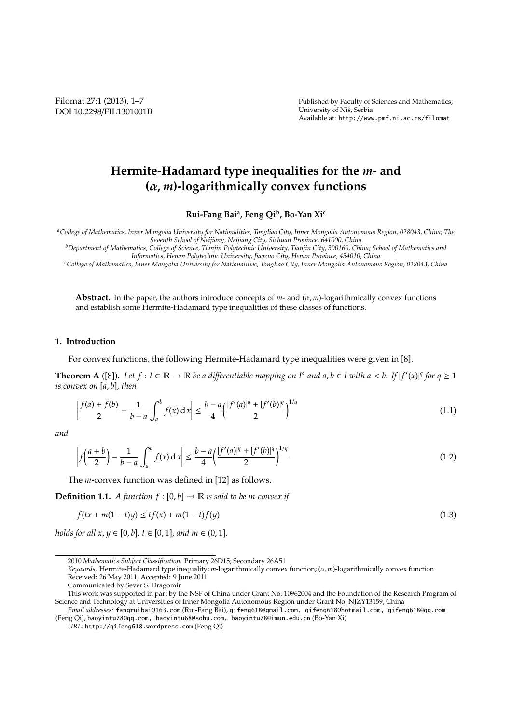Filomat 27:1 (2013), 1–7 DOI 10.2298/FIL1301001B Published by Faculty of Sciences and Mathematics, University of Niš, Serbia Available at: http://www.pmf.ni.ac.rs/filomat

# **Hermite-Hadamard type inequalities for the** *m***- and (**α, *m***)-logarithmically convex functions**

**Rui-Fang Bai<sup>a</sup> , Feng Qi<sup>b</sup> , Bo-Yan Xi<sup>c</sup>**

*<sup>a</sup>College of Mathematics, Inner Mongolia University for Nationalities, Tongliao City, Inner Mongolia Autonomous Region, 028043, China; The Seventh School of Neijiang, Neijiang City, Sichuan Province, 641000, China*

*<sup>b</sup>Department of Mathematics, College of Science, Tianjin Polytechnic University, Tianjin City, 300160, China; School of Mathematics and Informatics, Henan Polytechnic University, Jiaozuo City, Henan Province, 454010, China*

*<sup>c</sup>College of Mathematics, Inner Mongolia University for Nationalities, Tongliao City, Inner Mongolia Autonomous Region, 028043, China*

**Abstract.** In the paper, the authors introduce concepts of  $m$ - and  $(\alpha, m)$ -logarithmically convex functions and establish some Hermite-Hadamard type inequalities of these classes of functions.

## **1. Introduction**

For convex functions, the following Hermite-Hadamard type inequalities were given in [8].

**Theorem A** ([8]). Let  $f: I \subset \mathbb{R} \to \mathbb{R}$  be a differentiable mapping on  $I^{\circ}$  and  $a, b \in I$  with  $a < b$ . If  $|f'(x)|^q$  for  $q \ge 1$ *is convex on* [*a*, *b*]*, then*

$$
\left|\frac{f(a) + f(b)}{2} - \frac{1}{b-a}\int_{a}^{b} f(x) dx\right| \le \frac{b-a}{4} \left(\frac{|f'(a)|^q + |f'(b)|^q}{2}\right)^{1/q} \tag{1.1}
$$

*and*

$$
\left| f\left(\frac{a+b}{2}\right) - \frac{1}{b-a} \int_{a}^{b} f(x) \, dx \right| \le \frac{b-a}{4} \left( \frac{|f'(a)|^q + |f'(b)|^q}{2} \right)^{1/q} . \tag{1.2}
$$

The *m*-convex function was defined in [12] as follows.

**Definition 1.1.** *A function*  $f : [0, b] \rightarrow \mathbb{R}$  *is said to be m-convex if* 

$$
f(tx + m(1 - t)y) \le tf(x) + m(1 - t)f(y)
$$
\n(1.3)

*holds for all x, y*  $\in$  [0*, b*]*, t*  $\in$  [0*,* 1]*, and m*  $\in$  (0*,* 1]*.* 

<sup>2010</sup> *Mathematics Subject Classification*. Primary 26D15; Secondary 26A51

*Keywords*. Hermite-Hadamard type inequality; *m*-logarithmically convex function; (α, *m*)-logarithmically convex function Received: 26 May 2011; Accepted: 9 June 2011

Communicated by Sever S. Dragomir

This work was supported in part by the NSF of China under Grant No. 10962004 and the Foundation of the Research Program of Science and Technology at Universities of Inner Mongolia Autonomous Region under Grant No. NJZY13159, China

*Email addresses:* fangruibai@163.com (Rui-Fang Bai), qifeng618@gmail.com, qifeng618@hotmail.com, qifeng618@qq.com (Feng Qi), baoyintu78@qq.com, baoyintu68@sohu.com, baoyintu78@imun.edu.cn (Bo-Yan Xi)

*URL:* http://qifeng618.wordpress.com (Feng Qi)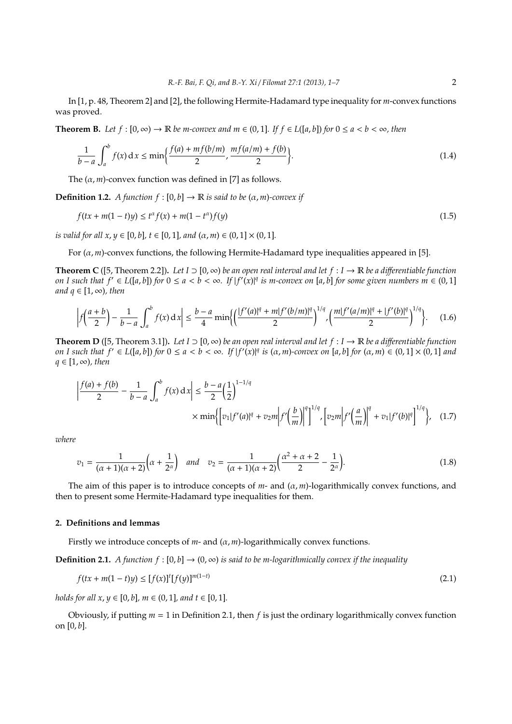In [1, p. 48, Theorem 2] and [2], the following Hermite-Hadamard type inequality for *m*-convex functions was proved.

**Theorem B.** *Let*  $f$  :  $[0, \infty)$  →  $\mathbb R$  *be m-convex and m* ∈  $(0, 1]$ *. If*  $f$  ∈  $L([a, b])$  *for*  $0 \le a < b < \infty$ *, then* 

$$
\frac{1}{b-a} \int_{a}^{b} f(x) dx \le \min\left\{\frac{f(a) + mf(b/m)}{2}, \frac{mf(a/m) + f(b)}{2}\right\}.
$$
 (1.4)

The  $(\alpha, m)$ -convex function was defined in [7] as follows.

**Definition 1.2.** *A function*  $f : [0, b] \rightarrow \mathbb{R}$  *is said to be*  $(\alpha, m)$ *-convex if* 

$$
f(tx + m(1-t)y) \le t^{\alpha} f(x) + m(1-t^{\alpha}) f(y)
$$
\n(1.5)

*is valid for all x, y*  $\in$  [0, *b*], *t*  $\in$  [0, 1], *and*  $(\alpha, m) \in$  (0, 1]  $\times$  (0, 1].

For (α, *m*)-convex functions, the following Hermite-Hadamard type inequalities appeared in [5].

**Theorem C** ([5, Theorem 2.2]). Let  $I \supset [0, \infty)$  be an open real interval and let  $f : I \to \mathbb{R}$  be a differentiable function on I such that  $f' \in L([a, b])$  for  $0 \le a < b < \infty$ . If  $|f'(x)|^q$  is m-convex on [a, b] for some given numbers  $m \in (0, 1]$ *and*  $q \in [1, \infty)$ *, then* 

$$
\left| f\left(\frac{a+b}{2}\right) - \frac{1}{b-a} \int_a^b f(x) \, dx \right| \le \frac{b-a}{4} \min\left\{ \left( \frac{|f'(a)|^q + m|f'(b/m)|^q}{2} \right)^{1/q}, \left( \frac{m|f'(a/m)|^q + |f'(b)|^q}{2} \right)^{1/q} \right\}.
$$
 (1.6)

**Theorem D** ([5, Theorem 3.1]). Let *I* ⊃ [0, ∞) *be an open real interval and let*  $f : I \to \mathbb{R}$  *be a differentiable function* on I such that  $f' \in L([a,b])$  for  $0 \le a < b < \infty$ . If  $|f'(x)|^q$  is  $(\alpha, m)$ -convex on  $[a,b]$  for  $(\alpha,m) \in (0,1] \times (0,1]$  and *q* ∈ [1, ∞)*, then*

$$
\left| \frac{f(a) + f(b)}{2} - \frac{1}{b - a} \int_{a}^{b} f(x) dx \right| \le \frac{b - a}{2} \left( \frac{1}{2} \right)^{1 - 1/q} \times \min \left\{ \left[ v_1 | f'(a)|^q + v_2 m \right] f' \left( \frac{b}{m} \right) \right\}^{q} \left| \int_{a}^{1/q} \left[ v_2 m \right] f' \left( \frac{a}{m} \right) \right\}^{q} + v_1 | f'(b)|^q \right\}^{1/q}, \quad (1.7)
$$

*where*

$$
v_1 = \frac{1}{(\alpha+1)(\alpha+2)} \left( \alpha + \frac{1}{2^{\alpha}} \right) \quad \text{and} \quad v_2 = \frac{1}{(\alpha+1)(\alpha+2)} \left( \frac{\alpha^2 + \alpha + 2}{2} - \frac{1}{2^{\alpha}} \right). \tag{1.8}
$$

The aim of this paper is to introduce concepts of *m*- and (α, *m*)-logarithmically convex functions, and then to present some Hermite-Hadamard type inequalities for them.

# **2. Definitions and lemmas**

Firstly we introduce concepts of  $m$ - and  $(\alpha, m)$ -logarithmically convex functions.

**Definition 2.1.** *A function*  $f : [0, b] \rightarrow (0, \infty)$  *is said to be m-logarithmically convex if the inequality* 

$$
f(tx + m(1-t)y) \le [f(x)]^t [f(y)]^{m(1-t)}
$$
\n(2.1)

*holds for all*  $x, y \in [0, b]$ *,*  $m \in (0, 1]$ *, and*  $t \in [0, 1]$ *.* 

Obviously, if putting *m* = 1 in Definition 2.1, then *f* is just the ordinary logarithmically convex function on [0, *b*].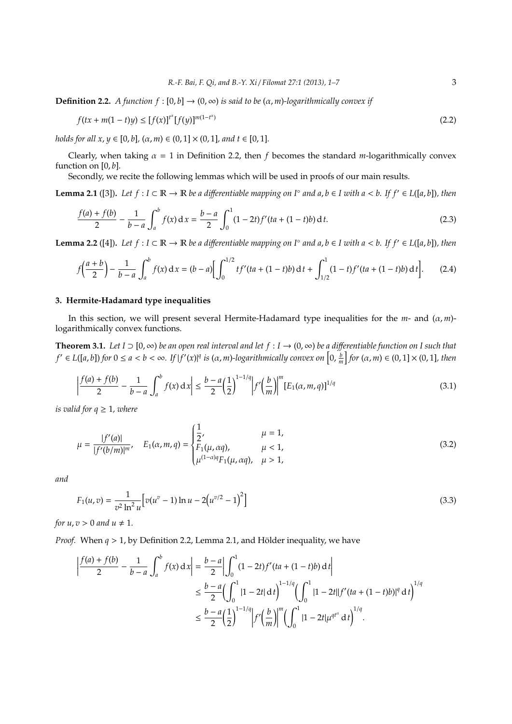**Definition 2.2.** *A function*  $f : [0, b] \rightarrow (0, \infty)$  *is said to be*  $(\alpha, m)$ *-logarithmically convex if* 

$$
f(tx + m(1-t)y) \le [f(x)]^{t^{n}} [f(y)]^{m(1-t^{n})}
$$
\n(2.2)

*holds for all x, y*  $\in$  [0*, b*]*,* ( $\alpha$ *, m*)  $\in$  (0*,* 1]  $\times$  (0*,* 1]*, and t*  $\in$  [0*,* 1]*.* 

Clearly, when taking  $\alpha = 1$  in Definition 2.2, then *f* becomes the standard *m*-logarithmically convex function on [0, *b*].

Secondly, we recite the following lemmas which will be used in proofs of our main results.

**Lemma 2.1** ([3]). Let  $f: I \subset \mathbb{R} \to \mathbb{R}$  be a differentiable mapping on  $I^\circ$  and  $a, b \in I$  with  $a < b$ . If  $f' \in L([a, b])$ , then

$$
\frac{f(a) + f(b)}{2} - \frac{1}{b-a} \int_{a}^{b} f(x) dx = \frac{b-a}{2} \int_{0}^{1} (1 - 2t) f'(ta + (1 - t)b) dt.
$$
 (2.3)

**Lemma 2.2** ([4]). Let  $f: I \subset \mathbb{R} \to \mathbb{R}$  be a differentiable mapping on  $I^\circ$  and  $a, b \in I$  with  $a < b$ . If  $f' \in L([a, b])$ , then

$$
f\left(\frac{a+b}{2}\right) - \frac{1}{b-a} \int_a^b f(x) \, dx = (b-a) \left[ \int_0^{1/2} tf'(ta + (1-t)b) \, dt + \int_{1/2}^1 (1-t)f'(ta + (1-t)b) \, dt \right]. \tag{2.4}
$$

## **3. Hermite-Hadamard type inequalities**

In this section, we will present several Hermite-Hadamard type inequalities for the *m*- and (α, *m*) logarithmically convex functions.

**Theorem 3.1.** *Let I* ⊃ [0, ∞) *be an open real interval and let*  $f : I \to (0, \infty)$  *be a differentiable function on I such that*  $f' \in L([a,b])$  for  $0 \le a < b < \infty$ . If  $|f'(x)|^q$  is  $(\alpha,m)$ -logarithmically convex on  $\left[0,\frac{b}{m}\right]$  for  $(\alpha,m) \in (0,1] \times (0,1]$ , then

$$
\left|\frac{f(a) + f(b)}{2} - \frac{1}{b-a}\int_{a}^{b} f(x) dx\right| \le \frac{b-a}{2} \left(\frac{1}{2}\right)^{1-1/q} \left|f'\left(\frac{b}{m}\right)\right|^{m} [E_1(\alpha, m, q)]^{1/q}
$$
(3.1)

*is valid for*  $q \geq 1$ *, where* 

$$
\mu = \frac{|f'(a)|}{|f'(b/m)|^m}, \quad E_1(\alpha, m, q) = \begin{cases} \frac{1}{2}, & \mu = 1, \\ F_1(\mu, \alpha q), & \mu < 1, \\ \mu^{(1-\alpha)q} F_1(\mu, \alpha q), & \mu > 1, \end{cases}
$$
(3.2)

*and*

$$
F_1(u,v) = \frac{1}{v^2 \ln^2 u} \Big[ v(u^v - 1) \ln u - 2(u^{v/2} - 1)^2 \Big] \tag{3.3}
$$

*for*  $u, v > 0$  *and*  $u \neq 1$ *.* 

*Proof.* When  $q > 1$ , by Definition 2.2, Lemma 2.1, and Hölder inequality, we have

$$
\left| \frac{f(a) + f(b)}{2} - \frac{1}{b - a} \int_{a}^{b} f(x) dx \right| = \frac{b - a}{2} \left| \int_{0}^{1} (1 - 2t) f'(ta + (1 - t)b) dt \right|
$$
  

$$
\leq \frac{b - a}{2} \left( \int_{0}^{1} |1 - 2t| dt \right)^{1 - 1/q} \left( \int_{0}^{1} |1 - 2t||f'(ta + (1 - t)b)|^{q} dt \right)^{1/q}
$$
  

$$
\leq \frac{b - a}{2} \left( \frac{1}{2} \right)^{1 - 1/q} \left| f' \left( \frac{b}{m} \right) \right|^{m} \left( \int_{0}^{1} |1 - 2t| \mu^{qt^{a}} dt \right)^{1/q}.
$$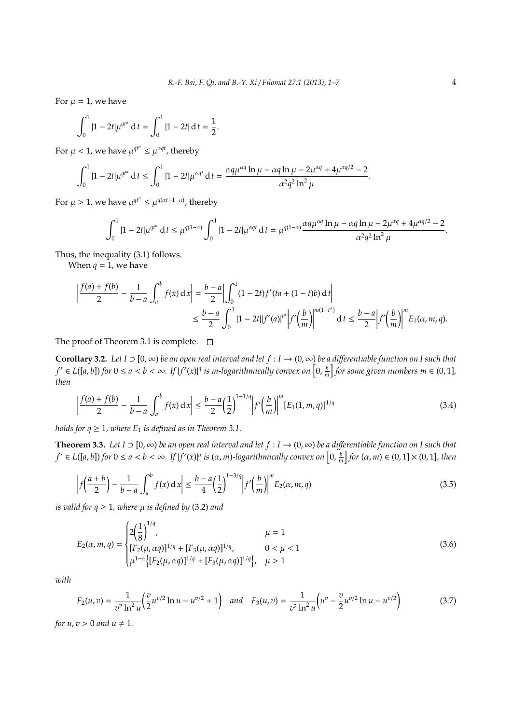For  $\mu = 1$ , we have

$$
\int_0^1 |1 - 2t| \mu^{qt^{\alpha}} dt = \int_0^1 |1 - 2t| dt = \frac{1}{2}
$$

For  $\mu < 1$ , we have  $\mu^{q t^{\alpha}} \leq \mu^{\alpha q t}$ , thereby

$$
\int_0^1 |1 - 2t| \mu^{q t^{\alpha}} dt \le \int_0^1 |1 - 2t| \mu^{\alpha q t} dt = \frac{\alpha q \mu^{\alpha q} \ln \mu - \alpha q \ln \mu - 2 \mu^{\alpha q} + 4 \mu^{\alpha q/2} - 2}{\alpha^2 q^2 \ln^2 \mu}.
$$

.

For  $\mu > 1$ , we have  $\mu^{qt^{\alpha}} \leq \mu^{q(\alpha t + 1 - \alpha)}$ , thereby

$$
\int_0^1 |1-2t| \mu^{q t^{\alpha}} \, \mathrm{d}t \leq \mu^{q(1-\alpha)} \int_0^1 |1-2t| \mu^{\alpha q t} \, \mathrm{d}t = \mu^{q(1-\alpha)} \frac{\alpha q \mu^{\alpha q} \ln \mu - \alpha q \ln \mu - 2 \mu^{\alpha q} + 4 \mu^{\alpha q/2} - 2}{\alpha^2 q^2 \ln^2 \mu}.
$$

Thus, the inequality (3.1) follows.

When  $q = 1$ , we have

$$
\left| \frac{f(a) + f(b)}{2} - \frac{1}{b - a} \int_{a}^{b} f(x) dx \right| = \frac{b - a}{2} \left| \int_{0}^{1} (1 - 2t) f'(ta + (1 - t)b) dt \right|
$$
  

$$
\leq \frac{b - a}{2} \int_{0}^{1} |1 - 2t||f'(a)|^{t^{n}} \left| f'(\frac{b}{m}) \right|^{m(1 - t^{n})} dt \leq \frac{b - a}{2} \left| f'(\frac{b}{m}) \right|^{m} E_{1}(\alpha, m, q).
$$

The proof of Theorem 3.1 is complete.  $\square$ 

**Corollary 3.2.** Let  $I \supset [0,\infty)$  be an open real interval and let  $f: I \to (0,\infty)$  be a differentiable function on I such that  $f' \in L([a,b])$  for  $0 \le a < b < \infty$ . If  $|f'(x)|^q$  is m-logarithmically convex on  $\left[0,\frac{b}{m}\right]$  for some given numbers  $m \in (0,1]$ , *then*

$$
\left|\frac{f(a) + f(b)}{2} - \frac{1}{b-a}\int_{a}^{b} f(x) dx\right| \le \frac{b-a}{2} \left(\frac{1}{2}\right)^{1-1/q} \left|f'\left(\frac{b}{m}\right)\right|^{m} [E_1(1, m, q)]^{1/q}
$$
(3.4)

*holds for*  $q \geq 1$ *, where*  $E_1$  *is defined as in Theorem 3.1.* 

**Theorem 3.3.** Let *I* ⊃ [0, ∞) *be an open real interval and let*  $f: I \to (0, \infty)$  *be a differentiable function on I such that*  $f' \in L([a,b])$  for  $0 \le a < b < \infty$ . If  $|f'(x)|^q$  is  $(\alpha,m)$ -logarithmically convex on  $\left[0,\frac{b}{m}\right]$  for  $(\alpha,m) \in (0,1] \times (0,1]$ , then

$$
\left| f\left(\frac{a+b}{2}\right) - \frac{1}{b-a} \int_a^b f(x) dx \right| \le \frac{b-a}{4} \left(\frac{1}{2}\right)^{1-3/q} \left| f'\left(\frac{b}{m}\right) \right|^m E_2(\alpha, m, q) \tag{3.5}
$$

*is valid for*  $q \geq 1$ *, where*  $\mu$  *is defined by* (3.2) *and* 

$$
E_2(\alpha, m, q) = \begin{cases} 2\left(\frac{1}{8}\right)^{1/q}, & \mu = 1\\ [F_2(\mu, \alpha q)]^{1/q} + [F_3(\mu, \alpha q)]^{1/q}, & 0 < \mu < 1\\ \mu^{1-\alpha} \Big\{ [F_2(\mu, \alpha q)]^{1/q} + [F_3(\mu, \alpha q)]^{1/q} \Big\}, & \mu > 1 \end{cases}
$$
(3.6)

*with*

$$
F_2(u,v) = \frac{1}{v^2 \ln^2 u} \left( \frac{v}{2} u^{v/2} \ln u - u^{v/2} + 1 \right) \quad \text{and} \quad F_3(u,v) = \frac{1}{v^2 \ln^2 u} \left( u^v - \frac{v}{2} u^{v/2} \ln u - u^{v/2} \right) \tag{3.7}
$$

*for*  $u, v > 0$  *and*  $u \neq 1$ *.*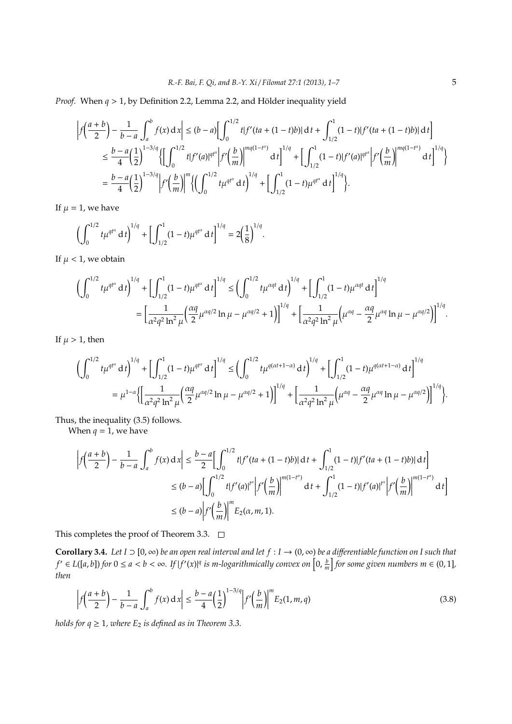*Proof.* When  $q > 1$ , by Definition 2.2, Lemma 2.2, and Hölder inequality yield

$$
\left| f\left(\frac{a+b}{2}\right) - \frac{1}{b-a} \int_{a}^{b} f(x) dx \right| \le (b-a) \left[ \int_{0}^{1/2} t |f'(ta + (1-t)b)| dt + \int_{1/2}^{1} (1-t) |f'(ta + (1-t)b)| dt \right]
$$
  
\n
$$
\le \frac{b-a}{4} \left( \frac{1}{2} \right)^{1-3/q} \left\{ \left[ \int_{0}^{1/2} t |f'(a)|^{qt^{a}} \right| f'\left(\frac{b}{m}\right) \right\}^{mq(1-t^{a})} dt \right\}^{1/q} + \left[ \int_{1/2}^{1} (1-t) |f'(a)|^{qt^{a}} \left| f'\left(\frac{b}{m}\right) \right|^{mq(1-t^{a})} dt \right]^{1/q}
$$
  
\n
$$
= \frac{b-a}{4} \left( \frac{1}{2} \right)^{1-3/q} \left| f'\left(\frac{b}{m}\right) \right|^{m} \left\{ \left( \int_{0}^{1/2} t \mu^{qt^{a}} dt \right)^{1/q} + \left[ \int_{1/2}^{1} (1-t) \mu^{qt^{a}} dt \right]^{1/q} \right\}.
$$

If  $\mu = 1$ , we have

$$
\left(\int_0^{1/2} t\mu^{qt^{\alpha}} dt\right)^{1/q} + \left[\int_{1/2}^1 (1-t)\mu^{qt^{\alpha}} dt\right]^{1/q} = 2\left(\frac{1}{8}\right)^{1/q}
$$

If  $\mu$  < 1, we obtain

$$
\begin{split} \left(\int_0^{1/2} t \mu^{q t^{\alpha}} \,\mathrm{d} \, t\right)^{1/q} + \left[\int_{1/2}^1 (1-t) \mu^{q t^{\alpha}} \,\mathrm{d} \, t\right]^{1/q} &\leq \left(\int_0^{1/2} t \mu^{\alpha q t} \,\mathrm{d} \, t\right)^{1/q} + \left[\int_{1/2}^1 (1-t) \mu^{\alpha q t} \,\mathrm{d} \, t\right]^{1/q} \\ &= \left[\frac{1}{\alpha^2 q^2 \ln^2 \mu} \left(\frac{\alpha q}{2} \mu^{\alpha q/2} \ln \mu - \mu^{\alpha q/2} + 1\right)\right]^{1/q} + \left[\frac{1}{\alpha^2 q^2 \ln^2 \mu} \left(\mu^{\alpha q} - \frac{\alpha q}{2} \mu^{\alpha q} \ln \mu - \mu^{\alpha q/2}\right)\right]^{1/q}. \end{split}
$$

.

If  $\mu > 1$ , then

$$
\begin{split} \biggl(\int_{0}^{1/2} t\mu^{q t^{\alpha}}\,\mathrm{d}\,t\biggr)^{1/q} + \biggl[\int_{1/2}^{1}(1-t)\mu^{q t^{\alpha}}\,\mathrm{d}\,t\biggr]^{1/q} &\leq \biggl(\int_{0}^{1/2} t\mu^{q(\alpha t+1-\alpha)}\,\mathrm{d}\,t\biggr)^{1/q} + \biggl[\int_{1/2}^{1}(1-t)\mu^{q(\alpha t+1-\alpha)}\,\mathrm{d}\,t\biggr]^{1/q} \\ &= \mu^{1-\alpha}\biggl\{\biggl[\frac{1}{\alpha^2q^2\ln^2\mu}\biggl(\frac{\alpha q}{2}\mu^{\alpha q/2}\ln\mu-\mu^{\alpha q/2}+1\biggr)\biggr]^{1/q} + \biggl[\frac{1}{\alpha^2q^2\ln^2\mu}\biggl(\mu^{\alpha q}-\frac{\alpha q}{2}\mu^{\alpha q}\ln\mu-\mu^{\alpha q/2}\biggr)\biggr]^{1/q}\biggr\}. \end{split}
$$

Thus, the inequality (3.5) follows.

When  $q = 1$ , we have

$$
\left| f\left(\frac{a+b}{2}\right) - \frac{1}{b-a} \int_{a}^{b} f(x) dx \right| \leq \frac{b-a}{2} \Big[ \int_{0}^{1/2} t |f'(ta + (1-t)b)| dt + \int_{1/2}^{1} (1-t) |f'(ta + (1-t)b)| dt \Big]
$$
  

$$
\leq (b-a) \Big[ \int_{0}^{1/2} t |f'(a)|^{t^{a}} \Big| f'\Big(\frac{b}{m}\Big) \Big|^{m(1-t^{a})} dt + \int_{1/2}^{1} (1-t) |f'(a)|^{t^{a}} \Big| f'\Big(\frac{b}{m}\Big) \Big|^{m(1-t^{a})} dt \Big]
$$
  

$$
\leq (b-a) \Big| f'\Big(\frac{b}{m}\Big) \Big|^{m} E_{2}(\alpha, m, 1).
$$

This completes the proof of Theorem 3.3.  $\Box$ 

**Corollary 3.4.** *Let I* ⊃ [0, ∞) *be an open real interval and let f* : *I* → (0, ∞) *be a di*ff*erentiable function on I such that*  $f'\in L([a,b])$  for  $0\leq a < b < \infty$ . If  $|f'(x)|^q$  is m-logarithmically convex on  $\left[0,\frac{b}{m}\right]$  for some given numbers  $m\in (0,1]$ , *then*

$$
\left| f\left(\frac{a+b}{2}\right) - \frac{1}{b-a} \int_{a}^{b} f(x) \, dx \right| \le \frac{b-a}{4} \left( \frac{1}{2} \right)^{1-3/q} \left| f'\left(\frac{b}{m}\right) \right|^{m} E_2(1, m, q) \tag{3.8}
$$

*holds for*  $q \geq 1$ *, where*  $E_2$  *is defined as in Theorem 3.3.*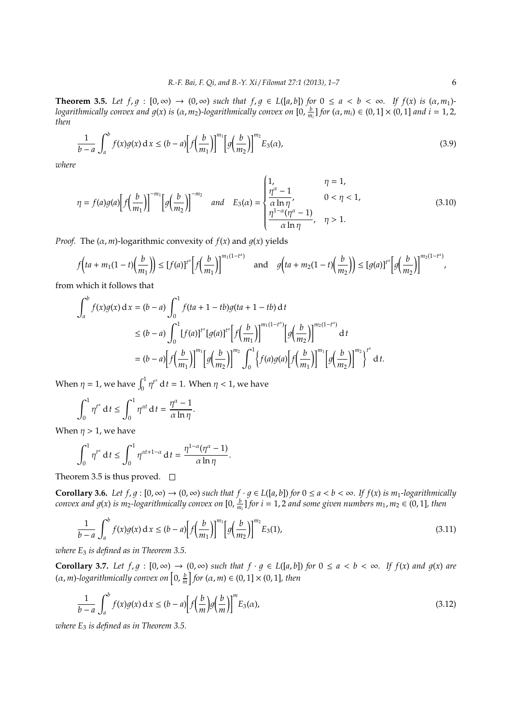**Theorem 3.5.** *Let*  $f, g : [0, \infty) \to (0, \infty)$  *such that*  $f, g \in L([a, b])$  *for*  $0 \le a < b < \infty$ *. If*  $f(x)$  *is*  $(\alpha, m_1)$ *logarithmically convex and g*(x) *is* ( $\alpha$ ,  $m_2$ )-logarithmically convex on [0,  $\frac{b}{m_i}$ ] for ( $\alpha$ ,  $m_i$ )  $\in$  (0, 1]  $\times$  (0, 1] and  $i = 1, 2,$ *then*

$$
\frac{1}{b-a} \int_{a}^{b} f(x)g(x) dx \le (b-a) \Big[ f\Big(\frac{b}{m_1}\Big) \Big]^{m_1} \Big[ g\Big(\frac{b}{m_2}\Big) \Big]^{m_2} E_3(\alpha), \tag{3.9}
$$

*where*

$$
\eta = f(a)g(a) \Big[ f\Big(\frac{b}{m_1}\Big) \Big]^{-m_1} \Big[ g\Big(\frac{b}{m_2}\Big) \Big]^{-m_2} \quad \text{and} \quad E_3(\alpha) = \begin{cases} 1, & \eta = 1, \\ \frac{\eta^{\alpha} - 1}{\alpha \ln \eta}, & 0 < \eta < 1, \\ \frac{\eta^{1-\alpha}(\eta^{\alpha} - 1)}{\alpha \ln \eta}, & \eta > 1. \end{cases} \tag{3.10}
$$

*Proof.* The  $(\alpha, m)$ -logarithmic convexity of  $f(x)$  and  $q(x)$  yields

$$
f\left(ta + m_1(1-t)\left(\frac{b}{m_1}\right)\right) \le [f(a)]^{t^{\alpha}} \bigg[f\left(\frac{b}{m_1}\right)\bigg]^{m_1(1-t^{\alpha})} \quad \text{and} \quad g\left(ta + m_2(1-t)\left(\frac{b}{m_2}\right)\right) \le [g(a)]^{t^{\alpha}} \bigg[g\left(\frac{b}{m_2}\right)\bigg]^{m_2(1-t^{\alpha})},
$$

from which it follows that

$$
\int_{a}^{b} f(x)g(x) dx = (b-a) \int_{0}^{1} f(ta+1-tb)g(ta+1-tb) dt
$$
  
\n
$$
\le (b-a) \int_{0}^{1} [f(a)]^{t^{n}} [g(a)]^{t^{n}} [f(\frac{b}{m_{1}})]^{m_{1}(1-t^{n})} [g(\frac{b}{m_{2}})]^{m_{2}(1-t^{n})} dt
$$
  
\n
$$
= (b-a) [f(\frac{b}{m_{1}})]^{m_{1}} [g(\frac{b}{m_{2}})]^{m_{2}} \int_{0}^{1} \{f(a)g(a)[f(\frac{b}{m_{1}})]^{m_{1}} [g(\frac{b}{m_{2}})]^{m_{2}} \}^{t^{n}} dt.
$$

When  $\eta = 1$ , we have  $\int_0^1 \eta^{t^{\alpha}} dt = 1$ . When  $\eta < 1$ , we have

$$
\int_0^1 \eta^{t^{\alpha}} dt \le \int_0^1 \eta^{\alpha t} dt = \frac{\eta^{\alpha} - 1}{\alpha \ln \eta}.
$$

When  $\eta > 1$ , we have

$$
\int_0^1 \eta^{t^{\alpha}} dt \le \int_0^1 \eta^{\alpha t + 1 - \alpha} dt = \frac{\eta^{1 - \alpha}(\eta^{\alpha} - 1)}{\alpha \ln \eta}.
$$

Theorem 3.5 is thus proved.  $\square$ 

**Corollary 3.6.** *Let*  $f, g : [0, \infty) \to (0, \infty)$  *such that*  $f \cdot g \in L([a, b])$  *for*  $0 \le a < b < \infty$ *. If*  $f(x)$  *is m*<sub>1</sub>*-logarithmically convex and g*(x) *is m*<sub>2</sub>-logarithmically convex on [0,  $\frac{b}{m_i}$ ] for  $i = 1, 2$  and some given numbers  $m_1, m_2 \in (0, 1]$ , then

$$
\frac{1}{b-a} \int_{a}^{b} f(x)g(x) dx \le (b-a) \Big[ f\Big(\frac{b}{m_1}\Big) \Big]^{m_1} \Big[ g\Big(\frac{b}{m_2}\Big) \Big]^{m_2} E_3(1), \tag{3.11}
$$

*where E*<sup>3</sup> *is defined as in Theorem 3.5.*

**Corollary 3.7.** Let  $f, g : [0, \infty) \rightarrow (0, \infty)$  such that  $f \cdot g \in L([a, b])$  for  $0 \le a < b < \infty$ . If  $f(x)$  and  $g(x)$  are  $(\alpha, m)$ -logarithmically convex on  $\left[0, \frac{b}{m}\right]$  for  $(\alpha, m) \in (0, 1] \times (0, 1]$ , then

$$
\frac{1}{b-a} \int_{a}^{b} f(x)g(x) dx \le (b-a) \left[ f\left(\frac{b}{m}\right)g\left(\frac{b}{m}\right) \right]^{m} E_{3}(a), \tag{3.12}
$$

*where E*<sup>3</sup> *is defined as in Theorem 3.5.*